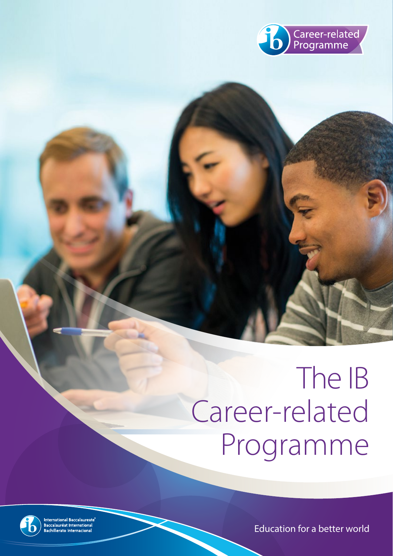

# The IB Career-related Programme



International Baccalaureate®<br>Baccalauréat International<br>Bachillerato Internacional

Education for a better world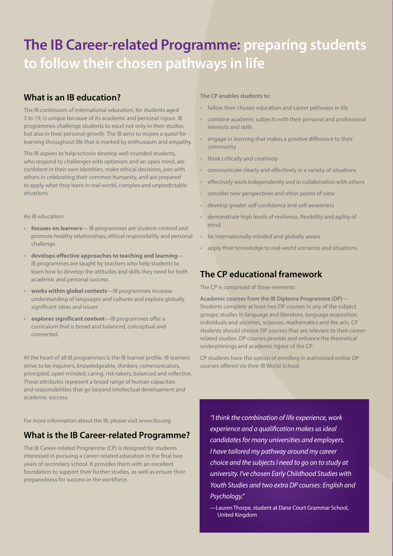## **The IB Career-related Programme: preparing students to follow their chosen pathways in life**

## **What is an IB education?**

The IB continuum of international education, for students aged 3 to 19, is unique because of its academic and personal rigour. IB programmes challenge students to excel not only in their studies but also in their personal growth. The IB aims to inspire a quest for learning throughout life that is marked by enthusiasm and empathy.

The IB aspires to help schools develop well-rounded students, who respond to challenges with optimism and an open mind, are confident in their own identities, make ethical decisions, join with others in celebrating their common humanity, and are prepared to apply what they learn in real-world, complex and unpredictable situations.

An IB education:

- **• focuses on learners** IB programmes are student-centred and promote healthy relationships, ethical responsibility and personal challenge
- **• develops effective approaches to teaching and learning** IB programmes are taught by teachers who help students to learn how to develop the attitudes and skills they need for both academic and personal success
- **works within global contexts**—IB programmes increase understanding of languages and cultures and explore globally significant ideas and issues
- **• explores significant content**—IB programmes offer a curriculum that is broad and balanced, conceptual and connected.

At the heart of all IB programmes is the IB learner profile. IB learners strive to be inquirers, knowledgeable, thinkers, communicators, principled, open-minded, caring, risk-takers, balanced and reflective. These attributes represent a broad range of human capacities and responsibilities that go beyond intellectual development and academic success.

For more information about the IB, please visit www.ibo.org

## **What is the IB Career-related Programme?**

The IB Career-related Programme (CP) is designed for students interested in pursuing a career-related education in the final two years of secondary school. It provides them with an excellent foundation to support their further studies, as well as ensure their preparedness for success in the workforce.

### **The CP enables students to:**

- follow their chosen education and career pathways in life
- combine academic subjects with their personal and professional interests and skills
- engage in learning that makes a positive difference to their community
- think critically and creatively
- communicate clearly and effectively in a variety of situations
- effectively work independently and in collaboration with others
- consider new perspectives and other points of view
- develop greater self-confidence and self-awareness
- demonstrate high levels of resilience, flexibility and agility of mind
- be internationally-minded and globally aware
- apply their knowledge to real-world scenarios and situations.

## **The CP educational framework**

The CP is comprised of three elements:

**Academic courses from the IB Diploma Programme (DP)**— Students complete at least two DP courses in any of the subject groups: studies in language and literature, language acquisition, individuals and societies, sciences, mathematics and the arts. CP students should choose DP courses that are relevant to their careerrelated studies. DP courses provide and enhance the theoretical underpinnings and academic rigour of the CP.

CP students have the option of enrolling in authorized online DP courses offered via their IB World School.

*"I think the combination of life experience, work experience and a qualification makes us ideal candidates for many universities and employers. I have tailored my pathway around my career choice and the subjects I need to go on to study at university. I've chosen Early Childhood Studies with Youth Studies and two extra DP courses: English and Psychology."*

—Lauren Thorpe, student at Dane Court Grammar School, United Kingdom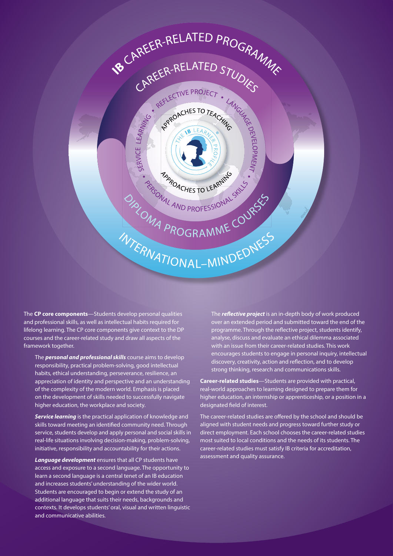

The **CP core components**—Students develop personal qualities and professional skills, as well as intellectual habits required for lifelong learning. The CP core components give context to the DP courses and the career-related study and draw all aspects of the framework together.

The *personal and professional skills* course aims to develop responsibility, practical problem-solving, good intellectual habits, ethical understanding, perseverance, resilience, an appreciation of identity and perspective and an understanding of the complexity of the modern world. Emphasis is placed on the development of skills needed to successfully navigate higher education, the workplace and society.

**Service learning** is the practical application of knowledge and skills toward meeting an identified community need. Through service, students develop and apply personal and social skills in real-life situations involving decision-making, problem-solving, initiative, responsibility and accountability for their actions.

*Language development* ensures that all CP students have access and exposure to a second language. The opportunity to learn a second language is a central tenet of an IB education and increases students' understanding of the wider world. Students are encouraged to begin or extend the study of an additional language that suits their needs, backgrounds and contexts. It develops students' oral, visual and written linguistic and communicative abilities.

The *reflective project* is an in-depth body of work produced over an extended period and submitted toward the end of the programme. Through the reflective project, students identify, analyse, discuss and evaluate an ethical dilemma associated with an issue from their career-related studies. This work encourages students to engage in personal inquiry, intellectual discovery, creativity, action and reflection, and to develop strong thinking, research and communications skills.

**Career-related studies**—Students are provided with practical, real-world approaches to learning designed to prepare them for higher education, an internship or apprenticeship, or a position in a designated field of interest.

The career-related studies are offered by the school and should be aligned with student needs and progress toward further study or direct employment. Each school chooses the career-related studies most suited to local conditions and the needs of its students. The career-related studies must satisfy IB criteria for accreditation, assessment and quality assurance.